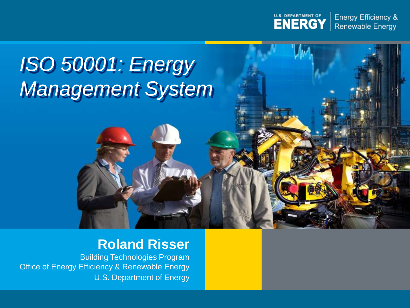

**Energy Efficiency & Renewable Energy** 

# *ISO 50001: Energy Management System*

### **Roland Risser**

Building Technologies Program Office of Energy Efficiency & Renewable Energy U.S. Department of Energy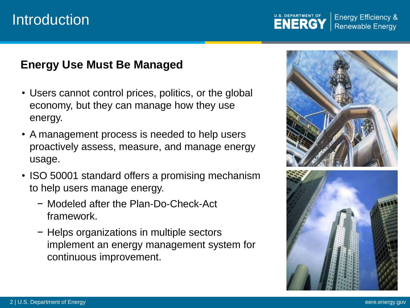### **Introduction**

U.S. DEPARTMENT OF **Energy Efficiency & Renewable Energy** 

### **Energy Use Must Be Managed**

- Users cannot control prices, politics, or the global economy, but they can manage how they use energy.
- A management process is needed to help users proactively assess, measure, and manage energy usage.
- ISO 50001 standard offers a promising mechanism to help users manage energy.
	- − Modeled after the Plan-Do-Check-Act framework.
	- − Helps organizations in multiple sectors implement an energy management system for continuous improvement.

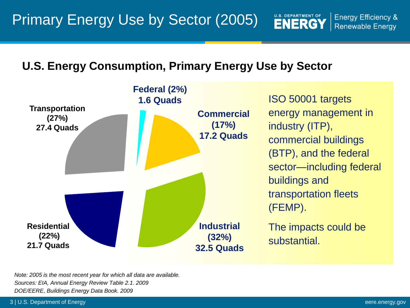U.S. DEPARTMENT OF

#### **U.S. Energy Consumption, Primary Energy Use by Sector**



*Note: 2005 is the most recent year for which all data are available. Sources: EIA, Annual Energy Review Table 2.1. 2009 DOE/EERE, Buildings Energy Data Book. 2009*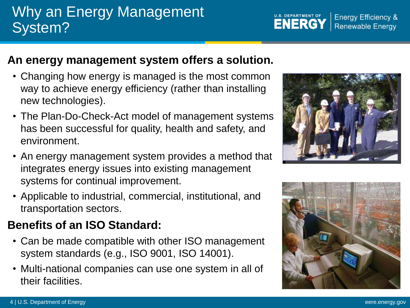#### 4 | U.S. Department of Energy eere.energy.gov

### Why an Energy Management System?

### **An energy management system offers a solution.**

- Changing how energy is managed is the most common way to achieve energy efficiency (rather than installing new technologies).
- The Plan-Do-Check-Act model of management systems has been successful for quality, health and safety, and environment.
- An energy management system provides a method that integrates energy issues into existing management systems for continual improvement.
- Applicable to industrial, commercial, institutional, and transportation sectors.

### **Benefits of an ISO Standard:**

- Can be made compatible with other ISO management system standards (e.g., ISO 9001, ISO 14001).
- Multi-national companies can use one system in all of their facilities.





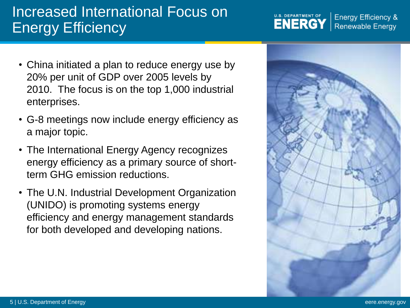### Increased International Focus on Energy Efficiency

- China initiated a plan to reduce energy use by 20% per unit of GDP over 2005 levels by 2010. The focus is on the top 1,000 industrial enterprises.
- G-8 meetings now include energy efficiency as a major topic.
- The International Energy Agency recognizes energy efficiency as a primary source of shortterm GHG emission reductions.
- The U.N. Industrial Development Organization (UNIDO) is promoting systems energy efficiency and energy management standards for both developed and developing nations.



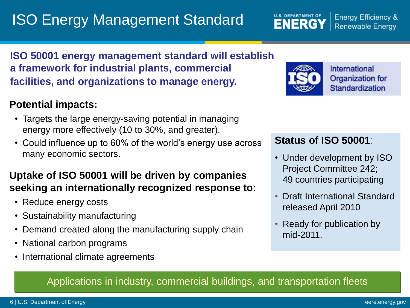## ISO Energy Management Standard

**Energy Efficiency & Renewable Energy** 

### **ISO 50001 energy management standard will establish a framework for industrial plants, commercial facilities, and organizations to manage energy.**

#### **Potential impacts:**

- Targets the large energy-saving potential in managing energy more effectively (10 to 30%, and greater).
- Could influence up to 60% of the world's energy use across many economic sectors.

#### **Uptake of ISO 50001 will be driven by companies seeking an internationally recognized response to:**

- Reduce energy costs
- Sustainability manufacturing
- Demand created along the manufacturing supply chain
- National carbon programs
- International climate agreements



**U.S. DEPARTMENT OF** 

**ENERGY** 

International Organization for Standardization

#### **Status of ISO 50001**:

- Under development by ISO Project Committee 242; 49 countries participating
- Draft International Standard released April 2010
- Ready for publication by mid-2011.

#### Applications in industry, commercial buildings, and transportation fleets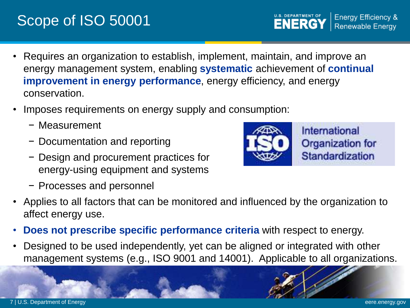## Scope of ISO 50001

- Requires an organization to establish, implement, maintain, and improve an energy management system, enabling **systematic** achievement of **continual improvement in energy performance**, energy efficiency, and energy conservation.
- Imposes requirements on energy supply and consumption:
	- − Measurement
	- − Documentation and reporting
	- − Design and procurement practices for energy-using equipment and systems
	- − Processes and personnel
- Applies to all factors that can be monitored and influenced by the organization to affect energy use.
- **Does not prescribe specific performance criteria** with respect to energy.
- Designed to be used independently, yet can be aligned or integrated with other management systems (e.g., ISO 9001 and 14001). Applicable to all organizations.



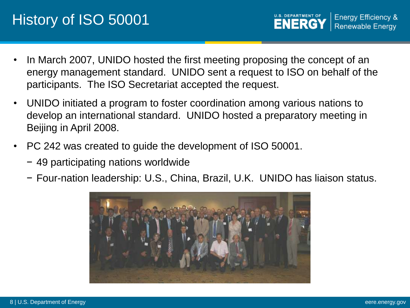- In March 2007, UNIDO hosted the first meeting proposing the concept of an energy management standard. UNIDO sent a request to ISO on behalf of the participants. The ISO Secretariat accepted the request.
- UNIDO initiated a program to foster coordination among various nations to develop an international standard. UNIDO hosted a preparatory meeting in Beijing in April 2008.
- PC 242 was created to guide the development of ISO 50001.
	- − 49 participating nations worldwide
	- − Four-nation leadership: U.S., China, Brazil, U.K. UNIDO has liaison status.

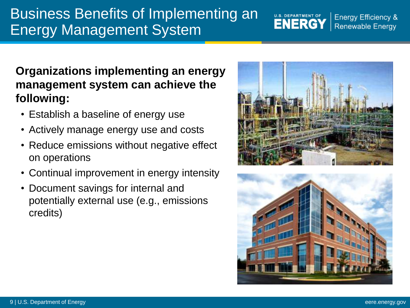### Business Benefits of Implementing an Energy Management System

### **Organizations implementing an energy management system can achieve the following:**

- Establish a baseline of energy use
- Actively manage energy use and costs
- Reduce emissions without negative effect on operations
- Continual improvement in energy intensity
- Document savings for internal and potentially external use (e.g., emissions credits)



U.S. DEPARTMENT OF

**Energy Efficiency & Renewable Energy**